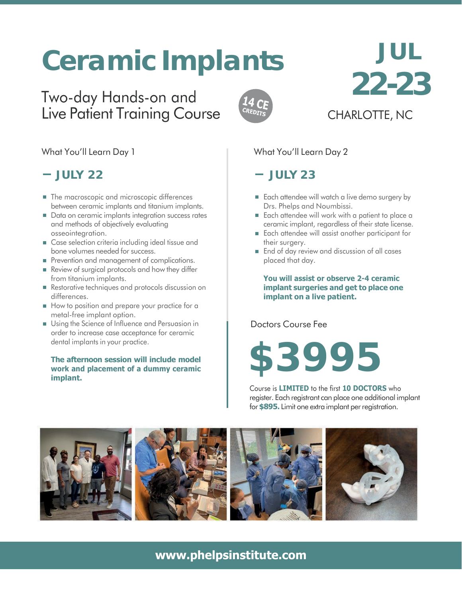# **Ceramic Implants**

# Two-day Hands-on and Live Patient Training Course



# **JUL 22-23**

CHARLOTTE, NC

# What You'll Learn Day 1

# **JULY 22**

- The macroscopic and microscopic differences between ceramic implants and titanium implants.
- Data on ceramic implants integration success rates and methods of objectively evaluating osseointegration.
- Case selection criteria including ideal tissue and bone volumes needed for success.
- Prevention and management of complications.
- Review of surgical protocols and how they differ from titanium implants.
- Restorative techniques and protocols discussion on differences.
- How to position and prepare your practice for a metal-free implant option.
- Using the Science of Influence and Persuasion in order to increase case acceptance for ceramic dental implants in your practice.

#### **The afternoon session will include model work and placement of a dummy ceramic implant.**

# What You'll Learn Day 2

# **JULY 23**

- Each attendee will watch a live demo surgery by Drs. Phelps and Noumbissi.
- Each attendee will work with a patient to place a ceramic implant, regardless of their state license.
- Each attendee will assist another participant for their surgery.
- **End of day review and discussion of all cases** placed that day.

**You will assist or observe 2-4 ceramic implant surgeries and get to place one implant on a live patient.**

Doctors Course Fee

# **\$3995**

Course is **LIMITED** to the first **10 DOCTORS** who register. Each registrant can place one additional implant for**\$895.** Limit one extra implant perregistration.



# **[www.phelpsinstitute.com](http://www.phelpsinstitute.com/)**